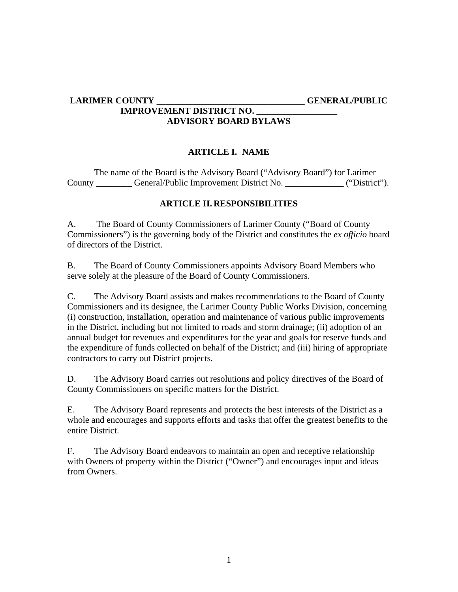#### **LARIMER COUNTY \_\_\_\_\_\_\_\_\_\_\_\_\_\_\_\_\_\_\_\_\_\_\_\_\_\_\_\_\_\_\_\_\_ GENERAL/PUBLIC IMPROVEMENT DISTRICT NO. \_\_\_\_\_\_\_\_\_\_\_\_\_\_\_\_\_\_ ADVISORY BOARD BYLAWS**

## **ARTICLE I. NAME**

The name of the Board is the Advisory Board ("Advisory Board") for Larimer County \_\_\_\_\_\_\_\_ General/Public Improvement District No. \_\_\_\_\_\_\_\_\_\_\_\_\_ ("District").

# **ARTICLE II. RESPONSIBILITIES**

A.The Board of County Commissioners of Larimer County ("Board of County Commissioners") is the governing body of the District and constitutes the *ex officio* board of directors of the District.

B. The Board of County Commissioners appoints Advisory Board Members who serve solely at the pleasure of the Board of County Commissioners.

C. The Advisory Board assists and makes recommendations to the Board of County Commissioners and its designee, the Larimer County Public Works Division, concerning (i) construction, installation, operation and maintenance of various public improvements in the District, including but not limited to roads and storm drainage; (ii) adoption of an annual budget for revenues and expenditures for the year and goals for reserve funds and the expenditure of funds collected on behalf of the District; and (iii) hiring of appropriate contractors to carry out District projects.

D. The Advisory Board carries out resolutions and policy directives of the Board of County Commissioners on specific matters for the District.

E. The Advisory Board represents and protects the best interests of the District as a whole and encourages and supports efforts and tasks that offer the greatest benefits to the entire District.

F. The Advisory Board endeavors to maintain an open and receptive relationship with Owners of property within the District ("Owner") and encourages input and ideas from Owners.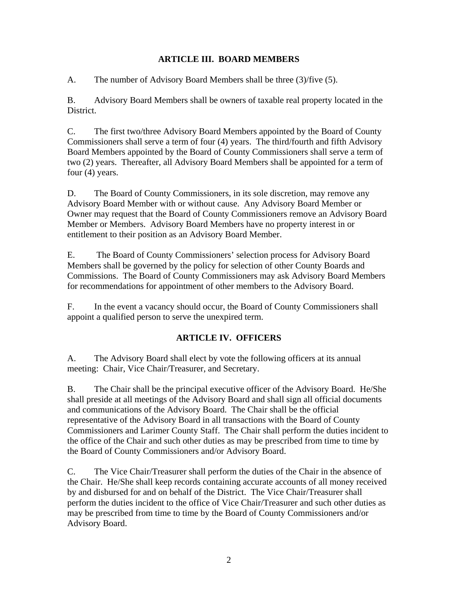### **ARTICLE III. BOARD MEMBERS**

A. The number of Advisory Board Members shall be three (3)/five (5).

B. Advisory Board Members shall be owners of taxable real property located in the District.

C. The first two/three Advisory Board Members appointed by the Board of County Commissioners shall serve a term of four (4) years. The third/fourth and fifth Advisory Board Members appointed by the Board of County Commissioners shall serve a term of two (2) years. Thereafter, all Advisory Board Members shall be appointed for a term of four (4) years.

D. The Board of County Commissioners, in its sole discretion, may remove any Advisory Board Member with or without cause. Any Advisory Board Member or Owner may request that the Board of County Commissioners remove an Advisory Board Member or Members. Advisory Board Members have no property interest in or entitlement to their position as an Advisory Board Member.

E. The Board of County Commissioners' selection process for Advisory Board Members shall be governed by the policy for selection of other County Boards and Commissions. The Board of County Commissioners may ask Advisory Board Members for recommendations for appointment of other members to the Advisory Board.

F. In the event a vacancy should occur, the Board of County Commissioners shall appoint a qualified person to serve the unexpired term.

# **ARTICLE IV. OFFICERS**

A. The Advisory Board shall elect by vote the following officers at its annual meeting: Chair, Vice Chair/Treasurer, and Secretary.

B. The Chair shall be the principal executive officer of the Advisory Board. He/She shall preside at all meetings of the Advisory Board and shall sign all official documents and communications of the Advisory Board. The Chair shall be the official representative of the Advisory Board in all transactions with the Board of County Commissioners and Larimer County Staff. The Chair shall perform the duties incident to the office of the Chair and such other duties as may be prescribed from time to time by the Board of County Commissioners and/or Advisory Board.

C. The Vice Chair/Treasurer shall perform the duties of the Chair in the absence of the Chair. He/She shall keep records containing accurate accounts of all money received by and disbursed for and on behalf of the District. The Vice Chair/Treasurer shall perform the duties incident to the office of Vice Chair/Treasurer and such other duties as may be prescribed from time to time by the Board of County Commissioners and/or Advisory Board.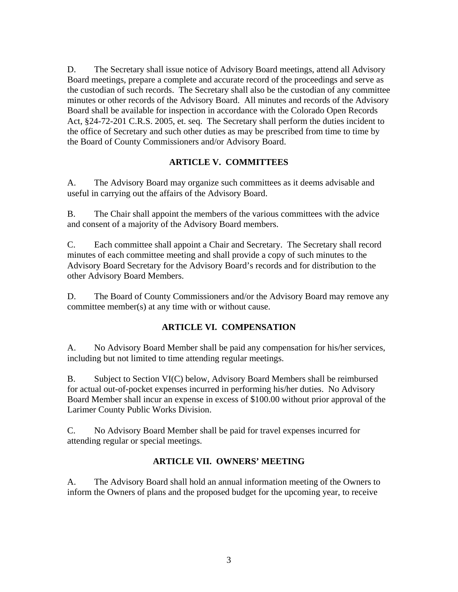D. The Secretary shall issue notice of Advisory Board meetings, attend all Advisory Board meetings, prepare a complete and accurate record of the proceedings and serve as the custodian of such records. The Secretary shall also be the custodian of any committee minutes or other records of the Advisory Board. All minutes and records of the Advisory Board shall be available for inspection in accordance with the Colorado Open Records Act, §24-72-201 C.R.S. 2005, et. seq. The Secretary shall perform the duties incident to the office of Secretary and such other duties as may be prescribed from time to time by the Board of County Commissioners and/or Advisory Board.

## **ARTICLE V. COMMITTEES**

A. The Advisory Board may organize such committees as it deems advisable and useful in carrying out the affairs of the Advisory Board.

B. The Chair shall appoint the members of the various committees with the advice and consent of a majority of the Advisory Board members.

C. Each committee shall appoint a Chair and Secretary. The Secretary shall record minutes of each committee meeting and shall provide a copy of such minutes to the Advisory Board Secretary for the Advisory Board's records and for distribution to the other Advisory Board Members.

D. The Board of County Commissioners and/or the Advisory Board may remove any committee member(s) at any time with or without cause.

### **ARTICLE VI. COMPENSATION**

A. No Advisory Board Member shall be paid any compensation for his/her services, including but not limited to time attending regular meetings.

B. Subject to Section VI(C) below, Advisory Board Members shall be reimbursed for actual out-of-pocket expenses incurred in performing his/her duties. No Advisory Board Member shall incur an expense in excess of \$100.00 without prior approval of the Larimer County Public Works Division.

C. No Advisory Board Member shall be paid for travel expenses incurred for attending regular or special meetings.

### **ARTICLE VII. OWNERS' MEETING**

A. The Advisory Board shall hold an annual information meeting of the Owners to inform the Owners of plans and the proposed budget for the upcoming year, to receive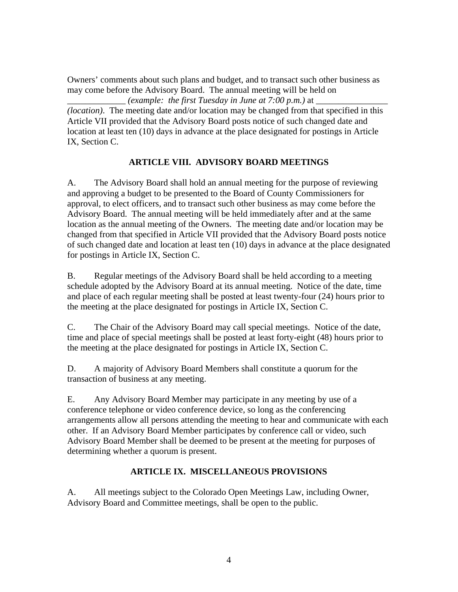Owners' comments about such plans and budget, and to transact such other business as may come before the Advisory Board. The annual meeting will be held on  $\equiv$  *(example: the first Tuesday in June at 7:00 p.m.)* at  $\equiv$ 

*(location)*. The meeting date and/or location may be changed from that specified in this Article VII provided that the Advisory Board posts notice of such changed date and location at least ten (10) days in advance at the place designated for postings in Article IX, Section C.

## **ARTICLE VIII. ADVISORY BOARD MEETINGS**

A. The Advisory Board shall hold an annual meeting for the purpose of reviewing and approving a budget to be presented to the Board of County Commissioners for approval, to elect officers, and to transact such other business as may come before the Advisory Board. The annual meeting will be held immediately after and at the same location as the annual meeting of the Owners. The meeting date and/or location may be changed from that specified in Article VII provided that the Advisory Board posts notice of such changed date and location at least ten (10) days in advance at the place designated for postings in Article IX, Section C.

B. Regular meetings of the Advisory Board shall be held according to a meeting schedule adopted by the Advisory Board at its annual meeting. Notice of the date, time and place of each regular meeting shall be posted at least twenty-four (24) hours prior to the meeting at the place designated for postings in Article IX, Section C.

C. The Chair of the Advisory Board may call special meetings. Notice of the date, time and place of special meetings shall be posted at least forty-eight (48) hours prior to the meeting at the place designated for postings in Article IX, Section C.

D. A majority of Advisory Board Members shall constitute a quorum for the transaction of business at any meeting.

E. Any Advisory Board Member may participate in any meeting by use of a conference telephone or video conference device, so long as the conferencing arrangements allow all persons attending the meeting to hear and communicate with each other. If an Advisory Board Member participates by conference call or video, such Advisory Board Member shall be deemed to be present at the meeting for purposes of determining whether a quorum is present.

### **ARTICLE IX. MISCELLANEOUS PROVISIONS**

A. All meetings subject to the Colorado Open Meetings Law, including Owner, Advisory Board and Committee meetings, shall be open to the public.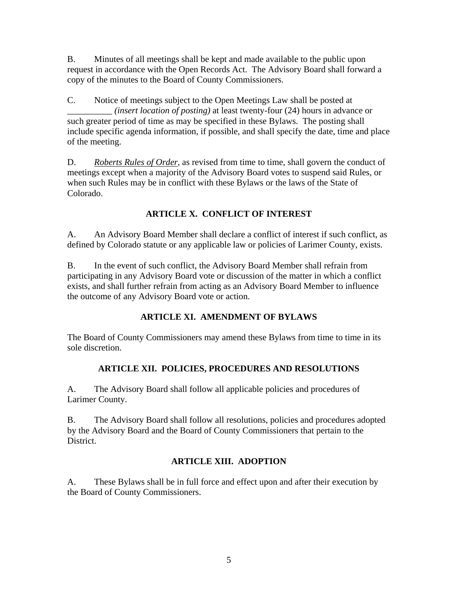B. Minutes of all meetings shall be kept and made available to the public upon request in accordance with the Open Records Act. The Advisory Board shall forward a copy of the minutes to the Board of County Commissioners.

C. Notice of meetings subject to the Open Meetings Law shall be posted at \_\_\_\_\_\_\_\_\_\_ *(insert location of posting)* at least twenty-four (24) hours in advance or such greater period of time as may be specified in these Bylaws. The posting shall include specific agenda information, if possible, and shall specify the date, time and place of the meeting.

D. *Roberts Rules of Order*, as revised from time to time, shall govern the conduct of meetings except when a majority of the Advisory Board votes to suspend said Rules, or when such Rules may be in conflict with these Bylaws or the laws of the State of Colorado.

# **ARTICLE X. CONFLICT OF INTEREST**

A. An Advisory Board Member shall declare a conflict of interest if such conflict, as defined by Colorado statute or any applicable law or policies of Larimer County, exists.

B. In the event of such conflict, the Advisory Board Member shall refrain from participating in any Advisory Board vote or discussion of the matter in which a conflict exists, and shall further refrain from acting as an Advisory Board Member to influence the outcome of any Advisory Board vote or action.

# **ARTICLE XI. AMENDMENT OF BYLAWS**

The Board of County Commissioners may amend these Bylaws from time to time in its sole discretion.

# **ARTICLE XII. POLICIES, PROCEDURES AND RESOLUTIONS**

A. The Advisory Board shall follow all applicable policies and procedures of Larimer County.

B. The Advisory Board shall follow all resolutions, policies and procedures adopted by the Advisory Board and the Board of County Commissioners that pertain to the District.

# **ARTICLE XIII. ADOPTION**

A. These Bylaws shall be in full force and effect upon and after their execution by the Board of County Commissioners.